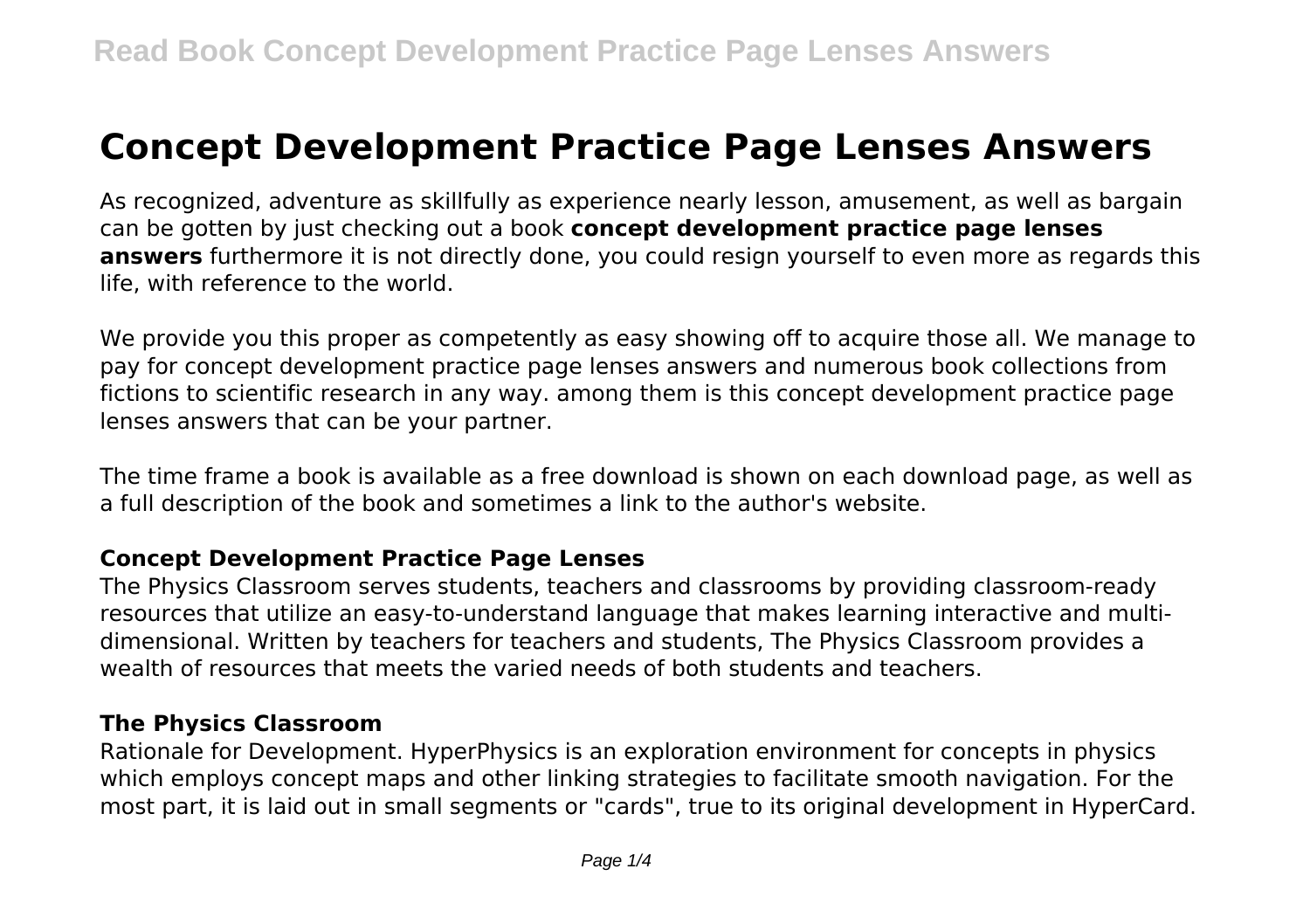# **Concept Development Practice Page Lenses Answers**

As recognized, adventure as skillfully as experience nearly lesson, amusement, as well as bargain can be gotten by just checking out a book **concept development practice page lenses answers** furthermore it is not directly done, you could resign yourself to even more as regards this life, with reference to the world.

We provide you this proper as competently as easy showing off to acquire those all. We manage to pay for concept development practice page lenses answers and numerous book collections from fictions to scientific research in any way. among them is this concept development practice page lenses answers that can be your partner.

The time frame a book is available as a free download is shown on each download page, as well as a full description of the book and sometimes a link to the author's website.

## **Concept Development Practice Page Lenses**

The Physics Classroom serves students, teachers and classrooms by providing classroom-ready resources that utilize an easy-to-understand language that makes learning interactive and multidimensional. Written by teachers for teachers and students, The Physics Classroom provides a wealth of resources that meets the varied needs of both students and teachers.

## **The Physics Classroom**

Rationale for Development. HyperPhysics is an exploration environment for concepts in physics which employs concept maps and other linking strategies to facilitate smooth navigation. For the most part, it is laid out in small segments or "cards", true to its original development in HyperCard.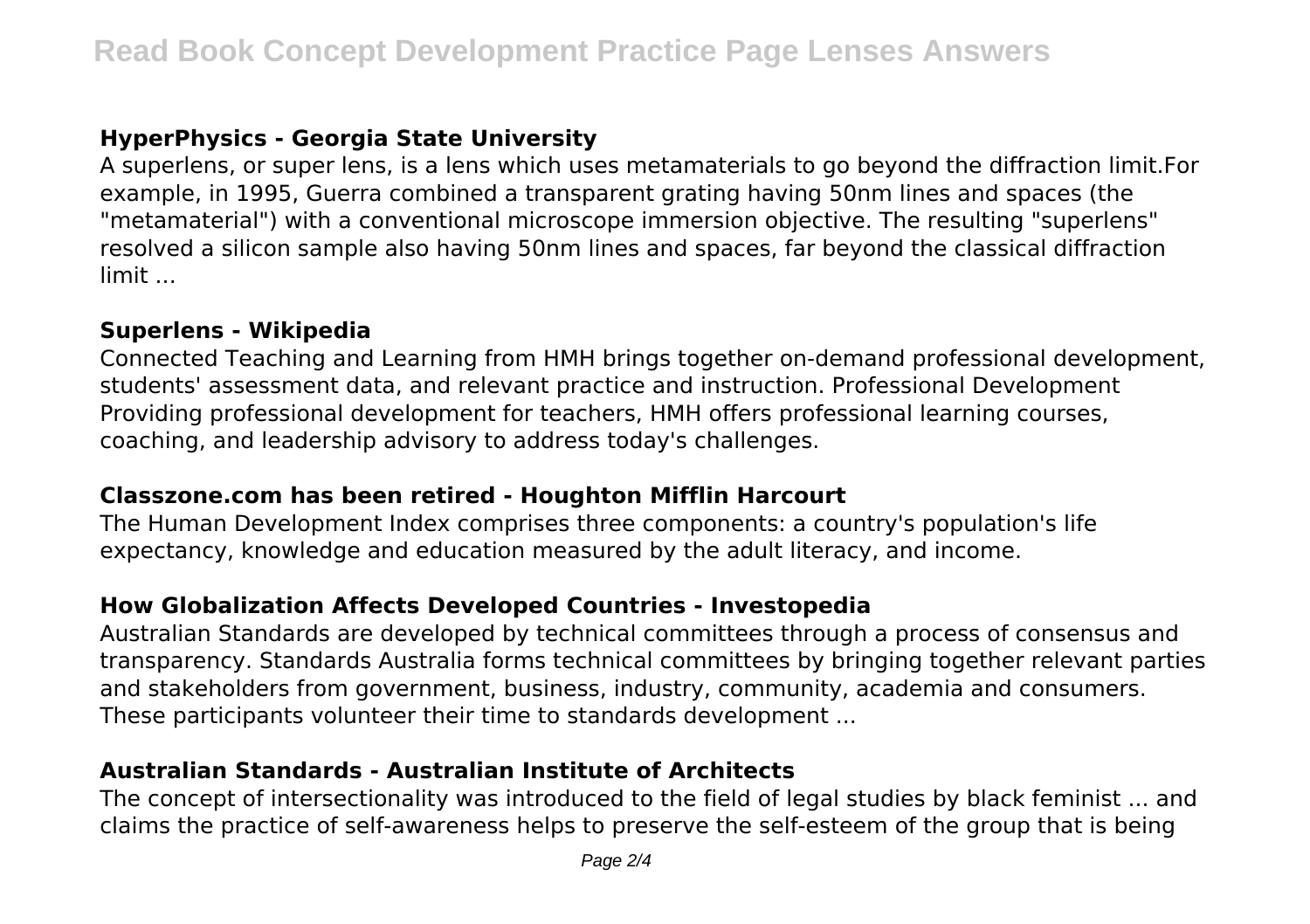## **HyperPhysics - Georgia State University**

A superlens, or super lens, is a lens which uses metamaterials to go beyond the diffraction limit.For example, in 1995, Guerra combined a transparent grating having 50nm lines and spaces (the "metamaterial") with a conventional microscope immersion objective. The resulting "superlens" resolved a silicon sample also having 50nm lines and spaces, far beyond the classical diffraction limit ...

## **Superlens - Wikipedia**

Connected Teaching and Learning from HMH brings together on-demand professional development, students' assessment data, and relevant practice and instruction. Professional Development Providing professional development for teachers, HMH offers professional learning courses, coaching, and leadership advisory to address today's challenges.

## **Classzone.com has been retired - Houghton Mifflin Harcourt**

The Human Development Index comprises three components: a country's population's life expectancy, knowledge and education measured by the adult literacy, and income.

## **How Globalization Affects Developed Countries - Investopedia**

Australian Standards are developed by technical committees through a process of consensus and transparency. Standards Australia forms technical committees by bringing together relevant parties and stakeholders from government, business, industry, community, academia and consumers. These participants volunteer their time to standards development ...

## **Australian Standards - Australian Institute of Architects**

The concept of intersectionality was introduced to the field of legal studies by black feminist ... and claims the practice of self-awareness helps to preserve the self-esteem of the group that is being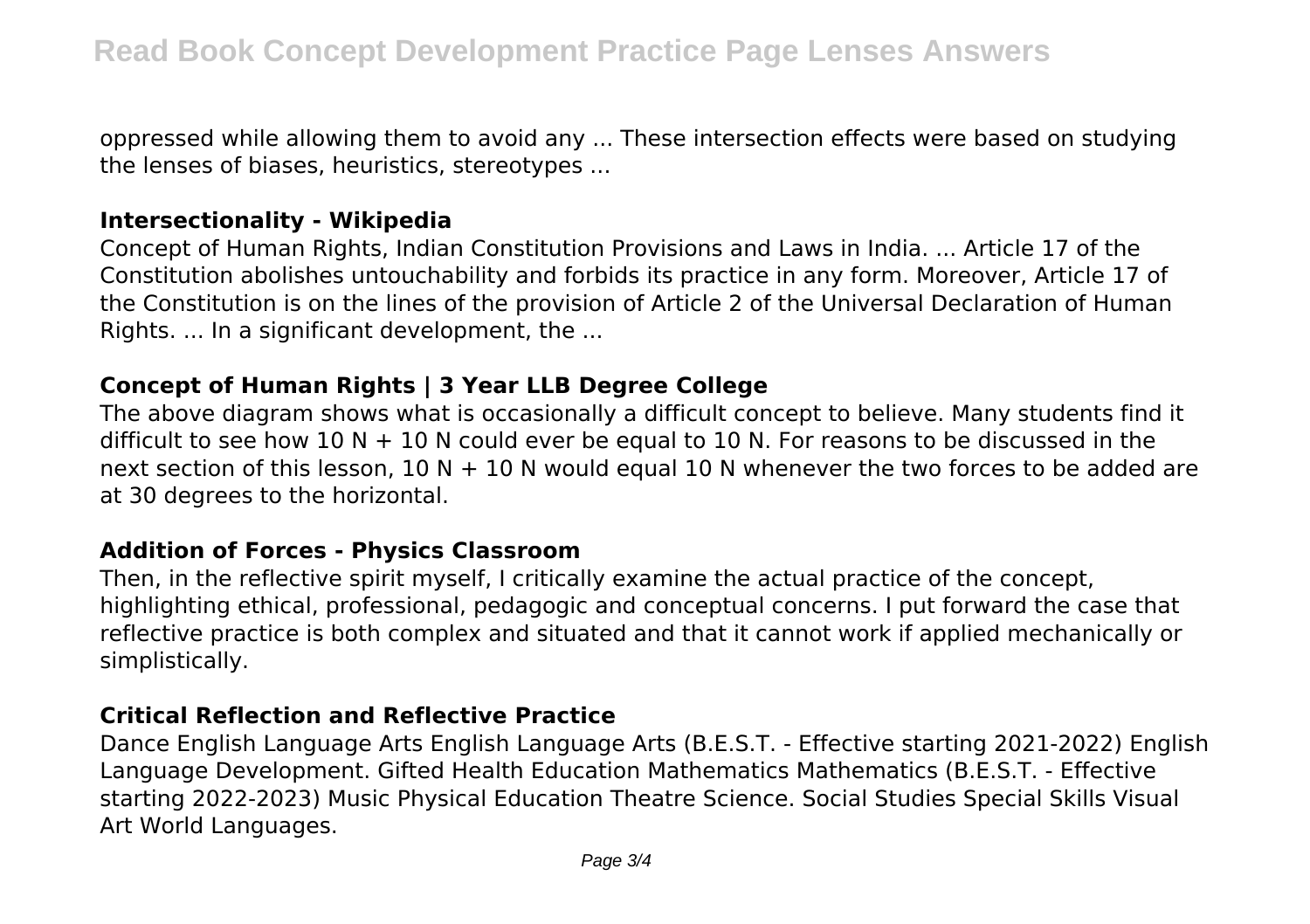oppressed while allowing them to avoid any ... These intersection effects were based on studying the lenses of biases, heuristics, stereotypes ...

#### **Intersectionality - Wikipedia**

Concept of Human Rights, Indian Constitution Provisions and Laws in India. ... Article 17 of the Constitution abolishes untouchability and forbids its practice in any form. Moreover, Article 17 of the Constitution is on the lines of the provision of Article 2 of the Universal Declaration of Human Rights. ... In a significant development, the ...

## **Concept of Human Rights | 3 Year LLB Degree College**

The above diagram shows what is occasionally a difficult concept to believe. Many students find it difficult to see how 10 N  $+$  10 N could ever be equal to 10 N. For reasons to be discussed in the next section of this lesson, 10 N  $+$  10 N would equal 10 N whenever the two forces to be added are at 30 degrees to the horizontal.

## **Addition of Forces - Physics Classroom**

Then, in the reflective spirit myself, I critically examine the actual practice of the concept, highlighting ethical, professional, pedagogic and conceptual concerns. I put forward the case that reflective practice is both complex and situated and that it cannot work if applied mechanically or simplistically.

## **Critical Reflection and Reflective Practice**

Dance English Language Arts English Language Arts (B.E.S.T. - Effective starting 2021-2022) English Language Development. Gifted Health Education Mathematics Mathematics (B.E.S.T. - Effective starting 2022-2023) Music Physical Education Theatre Science. Social Studies Special Skills Visual Art World Languages.